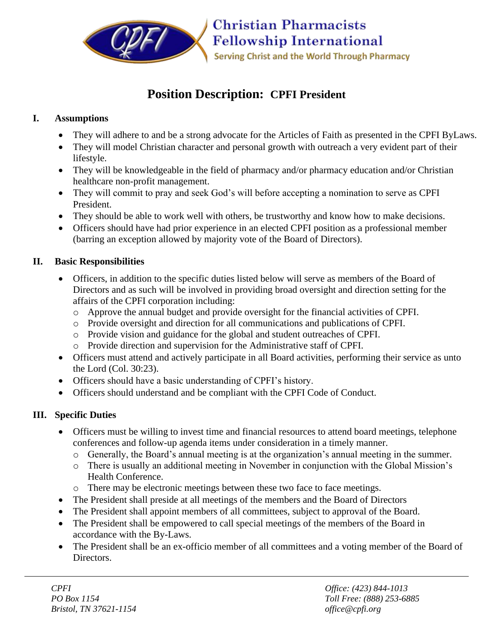

# **Position Description: CPFI President**

#### **I. Assumptions**

- They will adhere to and be a strong advocate for the Articles of Faith as presented in the CPFI ByLaws.
- They will model Christian character and personal growth with outreach a very evident part of their lifestyle.
- They will be knowledgeable in the field of pharmacy and/or pharmacy education and/or Christian healthcare non-profit management.
- They will commit to pray and seek God's will before accepting a nomination to serve as CPFI President.
- They should be able to work well with others, be trustworthy and know how to make decisions.
- Officers should have had prior experience in an elected CPFI position as a professional member (barring an exception allowed by majority vote of the Board of Directors).

### **II. Basic Responsibilities**

- Officers, in addition to the specific duties listed below will serve as members of the Board of Directors and as such will be involved in providing broad oversight and direction setting for the affairs of the CPFI corporation including:
	- o Approve the annual budget and provide oversight for the financial activities of CPFI.
	- o Provide oversight and direction for all communications and publications of CPFI.
	- o Provide vision and guidance for the global and student outreaches of CPFI.
	- o Provide direction and supervision for the Administrative staff of CPFI.
- Officers must attend and actively participate in all Board activities, performing their service as unto the Lord (Col. 30:23).
- Officers should have a basic understanding of CPFI's history.
- Officers should understand and be compliant with the CPFI Code of Conduct.

## **III. Specific Duties**

- Officers must be willing to invest time and financial resources to attend board meetings, telephone conferences and follow-up agenda items under consideration in a timely manner.
	- o Generally, the Board's annual meeting is at the organization's annual meeting in the summer.
	- o There is usually an additional meeting in November in conjunction with the Global Mission's Health Conference.
	- o There may be electronic meetings between these two face to face meetings.
- The President shall preside at all meetings of the members and the Board of Directors
- The President shall appoint members of all committees, subject to approval of the Board.
- The President shall be empowered to call special meetings of the members of the Board in accordance with the By-Laws.
- The President shall be an ex-officio member of all committees and a voting member of the Board of Directors.